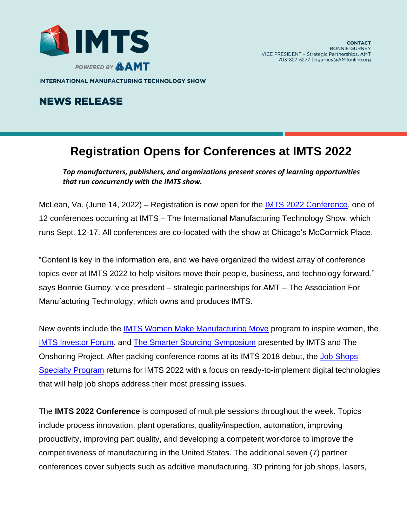

**INTERNATIONAL MANUFACTURING TECHNOLOGY SHOW** 

## **NEWS RELEASE**

## **Registration Opens for Conferences at IMTS 2022**

*Top manufacturers, publishers, and organizations present scores of learning opportunities that run concurrently with the IMTS show.*

McLean, Va. (June 14, 2022) – Registration is now open for the **IMTS 2022 Conference**, one of 12 conferences occurring at IMTS – The International Manufacturing Technology Show, which runs Sept. 12-17. All conferences are co-located with the show at Chicago's McCormick Place.

"Content is key in the information era, and we have organized the widest array of conference topics ever at IMTS 2022 to help visitors move their people, business, and technology forward," says Bonnie Gurney, vice president – strategic partnerships for AMT – The Association For Manufacturing Technology, which owns and produces IMTS.

New events include the [IMTS Women Make Manufacturing Move](https://www.imts.com/show/education/WomenMakeMFGMove.cfm) program to inspire women, the [IMTS Investor Forum,](https://www.imts.com/show/education/InvestorForum.cfm) and [The Smarter Sourcing Symposium](https://www.imts.com/show/education/TOPS.cfm) presented by IMTS and The Onshoring Project. After packing conference rooms at its IMTS 2018 debut, the [Job Shops](https://www.imts.com/show/education/JobShopsProgram.cfm)  [Specialty](https://www.imts.com/show/education/JobShopsProgram.cfm) Program returns for IMTS 2022 with a focus on ready-to-implement digital technologies that will help job shops address their most pressing issues.

The **IMTS 2022 Conference** is composed of multiple sessions throughout the week. Topics include process innovation, plant operations, quality/inspection, automation, improving productivity, improving part quality, and developing a competent workforce to improve the competitiveness of manufacturing in the United States. The additional seven (7) partner conferences cover subjects such as additive manufacturing, 3D printing for job shops, lasers,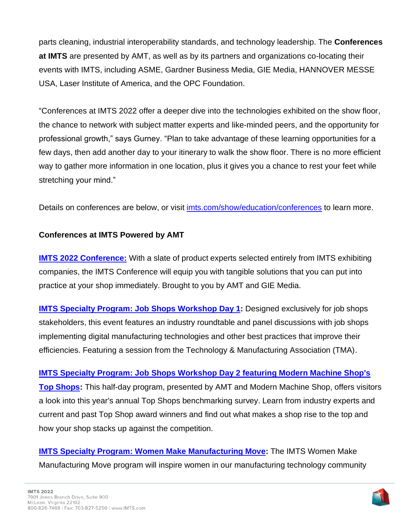parts cleaning, industrial interoperability standards, and technology leadership. The **Conferences at IMTS** are presented by AMT, as well as by its partners and organizations co-locating their events with IMTS, including ASME, Gardner Business Media, GIE Media, HANNOVER MESSE USA, Laser Institute of America, and the OPC Foundation.

"Conferences at IMTS 2022 offer a deeper dive into the technologies exhibited on the show floor, the chance to network with subject matter experts and like-minded peers, and the opportunity for professional growth," says Gurney. "Plan to take advantage of these learning opportunities for a few days, then add another day to your itinerary to walk the show floor. There is no more efficient way to gather more information in one location, plus it gives you a chance to rest your feet while stretching your mind."

Details on conferences are below, or visit [imts.com/show/education/conferences](https://www.imts.com/show/education/conferences.cfm) to learn more.

## **Conferences at IMTS Powered by AMT**

**[IMTS 2022 Conference:](https://www.imts.com/show/education/IMTS2022.cfm)** With a slate of product experts selected entirely from IMTS exhibiting companies, the IMTS Conference will equip you with tangible solutions that you can put into practice at your shop immediately. Brought to you by AMT and GIE Media.

**IMTS Specialty [Program: Job Shops Workshop](https://www.imts.com/show/education/JobShopsProgram.cfm) Day 1:** Designed exclusively for job shops stakeholders, this event features an industry roundtable and panel discussions with job shops implementing digital manufacturing technologies and other best practices that improve their efficiencies. Featuring a session from the Technology & Manufacturing Association (TMA).

**IMTS Specialty [Program: Job Shops Workshop Day 2 featuring Modern Machine Shop's](https://www.imts.com/show/education/JobShopsProgram.cfm)  [Top Shops:](https://www.imts.com/show/education/JobShopsProgram.cfm)** This half-day program, presented by AMT and Modern Machine Shop, offers visitors a look into this year's annual Top Shops benchmarking survey. Learn from industry experts and current and past Top Shop award winners and find out what makes a shop rise to the top and how your shop stacks up against the competition.

**IMTS Specialty [Program: Women Make Manufacturing Move:](https://www.imts.com/show/education/WomenMakeMFGMove.cfm)** The IMTS Women Make Manufacturing Move program will inspire women in our manufacturing technology community

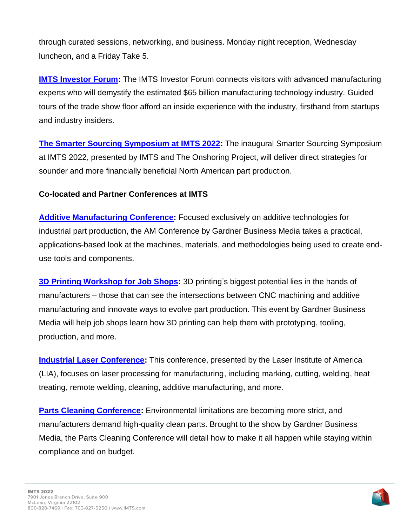through curated sessions, networking, and business. Monday night reception, Wednesday luncheon, and a Friday Take 5.

**[IMTS Investor Forum:](https://www.imts.com/show/education/InvestorForum.cfm)** The IMTS Investor Forum connects visitors with advanced manufacturing experts who will demystify the estimated \$65 billion manufacturing technology industry. Guided tours of the trade show floor afford an inside experience with the industry, firsthand from startups and industry insiders.

**[The Smarter Sourcing Symposium at IMTS 2022:](https://www.imts.com/show/education/TOPS.cfm)** The inaugural Smarter Sourcing Symposium at IMTS 2022, presented by IMTS and The Onshoring Project, will deliver direct strategies for sounder and more financially beneficial North American part production.

## **Co-located and Partner Conferences at IMTS**

**[Additive Manufacturing Conference:](https://www.imts.com/show/education/additiveManufacturingConference.cfm)** Focused exclusively on additive technologies for industrial part production, the AM Conference by Gardner Business Media takes a practical, applications-based look at the machines, materials, and methodologies being used to create enduse tools and components.

**[3D Printing Workshop for Job Shops:](https://www.imts.com/show/education/AMJobShops.cfm)** 3D printing's biggest potential lies in the hands of manufacturers – those that can see the intersections between CNC machining and additive manufacturing and innovate ways to evolve part production. This event by Gardner Business Media will help job shops learn how 3D printing can help them with prototyping, tooling, production, and more.

**[Industrial Laser Conference:](https://www.imts.com/show/education/LIA.cfm)** This conference, presented by the Laser Institute of America (LIA), focuses on laser processing for manufacturing, including marking, cutting, welding, heat treating, remote welding, cleaning, additive manufacturing, and more.

**[Parts Cleaning Conference:](https://www.imts.com/show/education/PartsCleaning.cfm)** Environmental limitations are becoming more strict, and manufacturers demand high-quality clean parts. Brought to the show by Gardner Business Media, the Parts Cleaning Conference will detail how to make it all happen while staying within compliance and on budget.